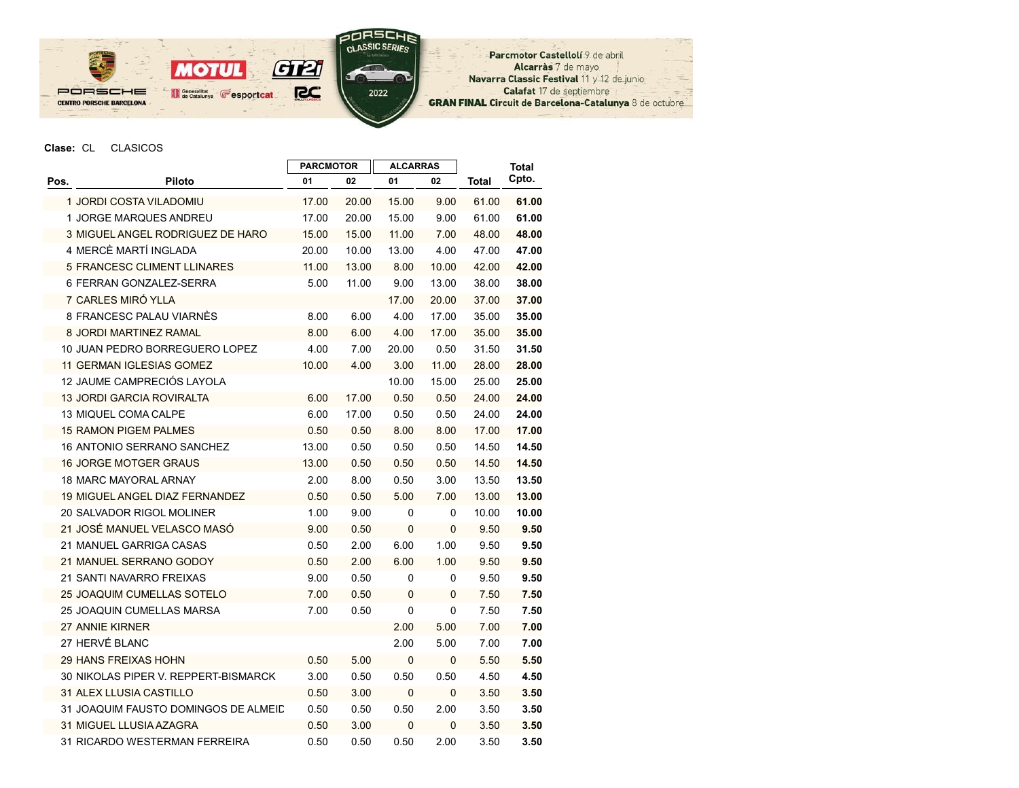

Parcmotor Castellolí 9 de abril Alcarràs 7 de mayo Navarra Classic Festival 11 y 12 de junio Calafat 17 de septiembre **GRAN FINAL Circuit de Barcelona-Catalunya 8 de octubre** 

## Clase: CL CLASICOS

|      |                                       | <b>PARCMOTOR</b> |       | <b>ALCARRAS</b> |             |       | <b>Total</b> |
|------|---------------------------------------|------------------|-------|-----------------|-------------|-------|--------------|
| Pos. | Piloto                                | 01               | 02    | 01              | 02          | Total | Cpto.        |
|      | 1 JORDI COSTA VILADOMIU               | 17.00            | 20.00 | 15.00           | 9.00        | 61.00 | 61.00        |
|      | 1 JORGE MARQUES ANDREU                | 17.00            | 20.00 | 15.00           | 9.00        | 61.00 | 61.00        |
|      | 3 MIGUEL ANGEL RODRIGUEZ DE HARO      | 15.00            | 15.00 | 11.00           | 7.00        | 48.00 | 48.00        |
|      | 4 MERCÈ MARTÍ INGLADA                 | 20.00            | 10.00 | 13.00           | 4.00        | 47.00 | 47.00        |
|      | <b>5 FRANCESC CLIMENT LLINARES</b>    | 11.00            | 13.00 | 8.00            | 10.00       | 42.00 | 42.00        |
|      | 6 FERRAN GONZALEZ-SERRA               | 5.00             | 11.00 | 9.00            | 13.00       | 38.00 | 38.00        |
|      | 7 CARLES MIRÓ YLLA                    |                  |       | 17.00           | 20.00       | 37.00 | 37.00        |
|      | 8 FRANCESC PALAU VIARNES              | 8.00             | 6.00  | 4.00            | 17.00       | 35.00 | 35.00        |
|      | 8 JORDI MARTINEZ RAMAL                | 8.00             | 6.00  | 4.00            | 17.00       | 35.00 | 35.00        |
|      | 10 JUAN PEDRO BORREGUERO LOPEZ        | 4.00             | 7.00  | 20.00           | 0.50        | 31.50 | 31.50        |
|      | <b>11 GERMAN IGLESIAS GOMEZ</b>       | 10.00            | 4.00  | 3.00            | 11.00       | 28.00 | 28.00        |
|      | 12 JAUME CAMPRECIÓS LAYOLA            |                  |       | 10.00           | 15.00       | 25.00 | 25.00        |
|      | <b>13 JORDI GARCIA ROVIRALTA</b>      | 6.00             | 17.00 | 0.50            | 0.50        | 24.00 | 24.00        |
|      | <b>13 MIQUEL COMA CALPE</b>           | 6.00             | 17.00 | 0.50            | 0.50        | 24.00 | 24.00        |
|      | <b>15 RAMON PIGEM PALMES</b>          | 0.50             | 0.50  | 8.00            | 8.00        | 17.00 | 17.00        |
|      | <b>16 ANTONIO SERRANO SANCHEZ</b>     | 13.00            | 0.50  | 0.50            | 0.50        | 14.50 | 14.50        |
|      | <b>16 JORGE MOTGER GRAUS</b>          | 13.00            | 0.50  | 0.50            | 0.50        | 14.50 | 14.50        |
|      | 18 MARC MAYORAL ARNAY                 | 2.00             | 8.00  | 0.50            | 3.00        | 13.50 | 13.50        |
|      | <b>19 MIGUEL ANGEL DIAZ FERNANDEZ</b> | 0.50             | 0.50  | 5.00            | 7.00        | 13.00 | 13.00        |
|      | <b>20 SALVADOR RIGOL MOLINER</b>      | 1.00             | 9.00  | 0               | 0           | 10.00 | 10.00        |
|      | 21 JOSÉ MANUEL VELASCO MASÓ           | 9.00             | 0.50  | 0               | 0           | 9.50  | 9.50         |
|      | 21 MANUEL GARRIGA CASAS               | 0.50             | 2.00  | 6.00            | 1.00        | 9.50  | 9.50         |
|      | 21 MANUEL SERRANO GODOY               | 0.50             | 2.00  | 6.00            | 1.00        | 9.50  | 9.50         |
|      | 21 SANTI NAVARRO FREIXAS              | 9.00             | 0.50  | 0               | 0           | 9.50  | 9.50         |
|      | <b>25 JOAQUIM CUMELLAS SOTELO</b>     | 7.00             | 0.50  | 0               | 0           | 7.50  | 7.50         |
|      | <b>25 JOAQUIN CUMELLAS MARSA</b>      | 7.00             | 0.50  | 0               | 0           | 7.50  | 7.50         |
|      | 27 ANNIE KIRNER                       |                  |       | 2.00            | 5.00        | 7.00  | 7.00         |
|      | 27 HERVÉ BLANC                        |                  |       | 2.00            | 5.00        | 7.00  | 7.00         |
|      | <b>29 HANS FREIXAS HOHN</b>           | 0.50             | 5.00  | 0               | 0           | 5.50  | 5.50         |
|      | 30 NIKOLAS PIPER V. REPPERT-BISMARCK  | 3.00             | 0.50  | 0.50            | 0.50        | 4.50  | 4.50         |
|      | <b>31 ALEX LLUSIA CASTILLO</b>        | 0.50             | 3.00  | 0               | $\mathbf 0$ | 3.50  | 3.50         |
|      | 31 JOAQUIM FAUSTO DOMINGOS DE ALMEID  | 0.50             | 0.50  | 0.50            | 2.00        | 3.50  | 3.50         |
|      | 31 MIGUEL LLUSIA AZAGRA               | 0.50             | 3.00  | 0               | 0           | 3.50  | 3.50         |
|      | 31 RICARDO WESTERMAN FERREIRA         | 0.50             | 0.50  | 0.50            | 2.00        | 3.50  | 3.50         |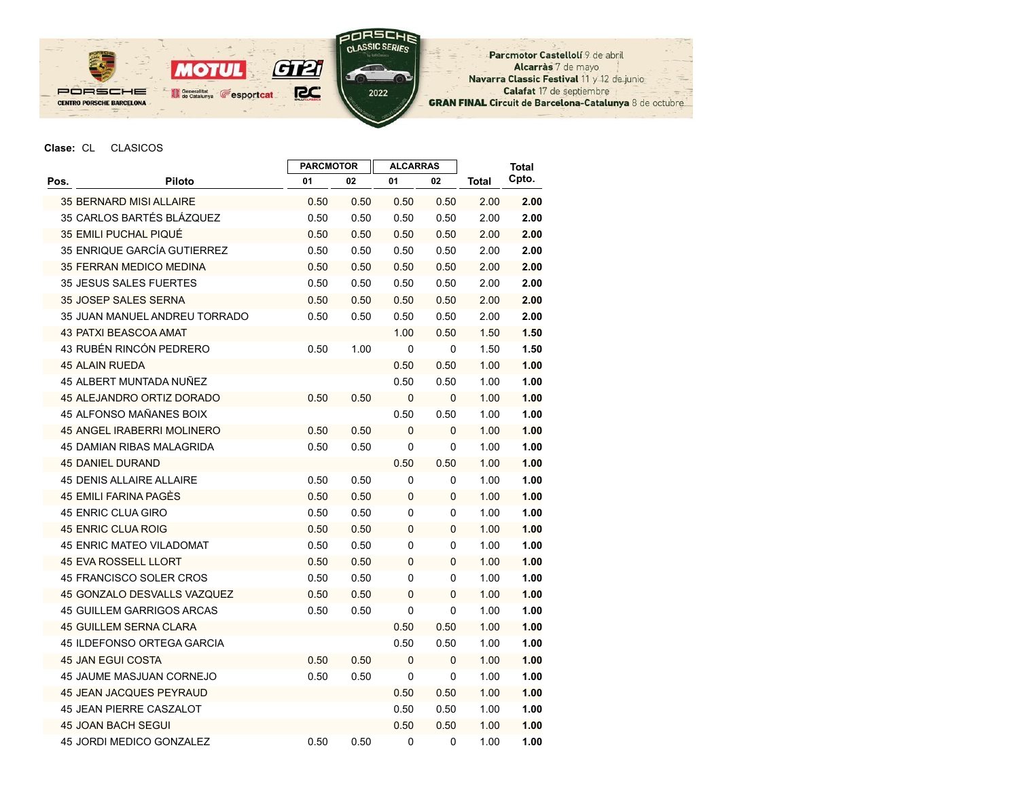

Parcmotor Castellolí 9 de abril Alcarràs 7 de mayo Navarra Classic Festival 11 y 12 de junio Calafat 17 de septiembre GRAN FINAL Circuit de Barcelona-Catalunya 8 de octubre

## Clase: CL CLASICOS

|      |                                  | <b>PARCMOTOR</b> |      | <b>ALCARRAS</b> |      |              | <b>Total</b> |
|------|----------------------------------|------------------|------|-----------------|------|--------------|--------------|
| Pos. | <b>Piloto</b>                    | 01               | 02   | 01              | 02   | <b>Total</b> | Cpto.        |
|      | 35 BERNARD MISI ALLAIRE          | 0.50             | 0.50 | 0.50            | 0.50 | 2.00         | 2.00         |
|      | 35 CARLOS BARTÉS BLÁZQUEZ        | 0.50             | 0.50 | 0.50            | 0.50 | 2.00         | 2.00         |
|      | 35 EMILI PUCHAL PIQUÉ            | 0.50             | 0.50 | 0.50            | 0.50 | 2.00         | 2.00         |
|      | 35 ENRIQUE GARCÍA GUTIERREZ      | 0.50             | 0.50 | 0.50            | 0.50 | 2.00         | 2.00         |
|      | <b>35 FERRAN MEDICO MEDINA</b>   | 0.50             | 0.50 | 0.50            | 0.50 | 2.00         | 2.00         |
|      | <b>35 JESUS SALES FUERTES</b>    | 0.50             | 0.50 | 0.50            | 0.50 | 2.00         | 2.00         |
|      | <b>35 JOSEP SALES SERNA</b>      | 0.50             | 0.50 | 0.50            | 0.50 | 2.00         | 2.00         |
|      | 35 JUAN MANUEL ANDREU TORRADO    | 0.50             | 0.50 | 0.50            | 0.50 | 2.00         | 2.00         |
|      | <b>43 PATXI BEASCOA AMAT</b>     |                  |      | 1.00            | 0.50 | 1.50         | 1.50         |
|      | 43 RUBÉN RINCÓN PEDRERO          | 0.50             | 1.00 | 0               | 0    | 1.50         | 1.50         |
|      | <b>45 ALAIN RUEDA</b>            |                  |      | 0.50            | 0.50 | 1.00         | 1.00         |
|      | 45 ALBERT MUNTADA NUÑEZ          |                  |      | 0.50            | 0.50 | 1.00         | 1.00         |
|      | 45 ALEJANDRO ORTIZ DORADO        | 0.50             | 0.50 | 0               | 0    | 1.00         | 1.00         |
|      | 45 ALFONSO MAÑANES BOIX          |                  |      | 0.50            | 0.50 | 1.00         | 1.00         |
|      | 45 ANGEL IRABERRI MOLINERO       | 0.50             | 0.50 | 0               | 0    | 1.00         | 1.00         |
|      | <b>45 DAMIAN RIBAS MALAGRIDA</b> | 0.50             | 0.50 | 0               | 0    | 1.00         | 1.00         |
|      | <b>45 DANIEL DURAND</b>          |                  |      | 0.50            | 0.50 | 1.00         | 1.00         |
|      | <b>45 DENIS ALLAIRE ALLAIRE</b>  | 0.50             | 0.50 | 0               | 0    | 1.00         | 1.00         |
|      | 45 EMILI FARINA PAGÈS            | 0.50             | 0.50 | 0               | 0    | 1.00         | 1.00         |
|      | <b>45 ENRIC CLUA GIRO</b>        | 0.50             | 0.50 | 0               | 0    | 1.00         | 1.00         |
|      | 45 ENRIC CLUA ROIG               | 0.50             | 0.50 | 0               | 0    | 1.00         | 1.00         |
|      | <b>45 ENRIC MATEO VILADOMAT</b>  | 0.50             | 0.50 | 0               | 0    | 1.00         | 1.00         |
|      | <b>45 EVA ROSSELL LLORT</b>      | 0.50             | 0.50 | 0               | 0    | 1.00         | 1.00         |
|      | 45 FRANCISCO SOLER CROS          | 0.50             | 0.50 | 0               | 0    | 1.00         | 1.00         |
|      | 45 GONZALO DESVALLS VAZQUEZ      | 0.50             | 0.50 | 0               | 0    | 1.00         | 1.00         |
|      | <b>45 GUILLEM GARRIGOS ARCAS</b> | 0.50             | 0.50 | 0               | 0    | 1.00         | 1.00         |
|      | <b>45 GUILLEM SERNA CLARA</b>    |                  |      | 0.50            | 0.50 | 1.00         | 1.00         |
|      | 45 ILDEFONSO ORTEGA GARCIA       |                  |      | 0.50            | 0.50 | 1.00         | 1.00         |
|      | <b>45 JAN EGUI COSTA</b>         | 0.50             | 0.50 | 0               | 0    | 1.00         | 1.00         |
|      | <b>45 JAUME MASJUAN CORNEJO</b>  | 0.50             | 0.50 | 0               | 0    | 1.00         | 1.00         |
|      | <b>45 JEAN JACQUES PEYRAUD</b>   |                  |      | 0.50            | 0.50 | 1.00         | 1.00         |
|      | <b>45 JEAN PIERRE CASZALOT</b>   |                  |      | 0.50            | 0.50 | 1.00         | 1.00         |
|      | <b>45 JOAN BACH SEGUI</b>        |                  |      | 0.50            | 0.50 | 1.00         | 1.00         |
|      | <b>45 JORDI MEDICO GONZALEZ</b>  | 0.50             | 0.50 | 0               | 0    | 1.00         | 1.00         |